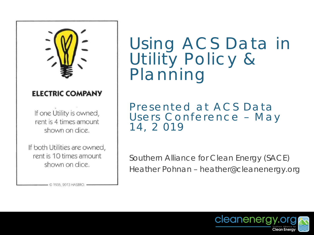

#### **ELECTRIC COMPANY**

If one Utility is owned, rent is 4 times amount shown on dice.

If both Utilities are owned, rent is 10 times amount shown on dice.

 $-$  © 1935, 2013 HASBRO

Using ACS Data in Utility Policy & Planning

Presented at ACS Data Users Conference – May 14, 2 019

Southern Alliance for Clean Energy (SACE) Heather Pohnan – heather@cleanenergy.org

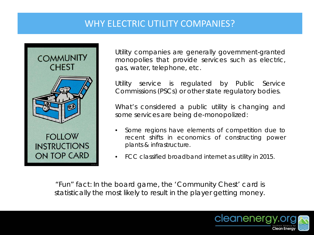# WHY ELECTRIC UTILITY COMPANIES?



Utility companies are generally government-granted monopolies that provide services such as electric, gas, water, telephone, etc.

Utility service is regulated by Public Service Commissions (PSCs) or other state regulatory bodies.

What's considered a public utility is changing and some services are being de-monopolized:

- Some regions have elements of competition due to recent shifts in economics of constructing power plants & infrastructure.
- FCC classified broadband internet as utility in 2015.

*"Fun" fact: In the board game, the 'Community Chest' card is statistically the most likely to result in the player getting money.*

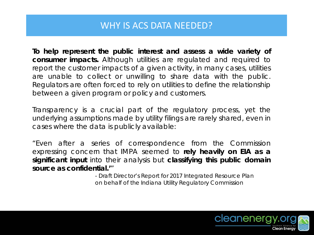### WHY IS ACS DATA NEEDED?

**To help represent the public interest and assess a wide variety of consumer impacts.** Although utilities are regulated and required to report the customer impacts of a given activity, in many cases, utilities are unable to collect or unwilling to share data with the public. Regulators are often forced to rely on utilities to define the relationship between a given program or policy and customers.

Transparency is a crucial part of the regulatory process, yet the underlying assumptions made by utility filings are rarely shared, even in cases where the data is publicly available:

"Even after a series of correspondence from the Commission expressing concern that IMPA seemed to *rely heavily on EIA as a significant input* into their analysis but *classifying this public domain source as confidential.'*"

> *- Draft Director's Report for 2017 Integrated Resource Plan on behalf of the Indiana Utility Regulatory Commission*

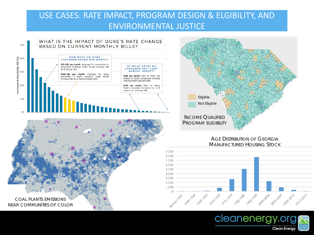### USE CASES: RATE IMPACT, PROGRAM DESIGN & ELGIBILITY, AND ENVIRONMENTAL JUSTICE





MANUFACTURED HOUSING STOCK



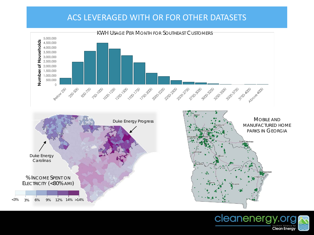### ACS LEVERAGED WITH OR FOR OTHER DATASETS



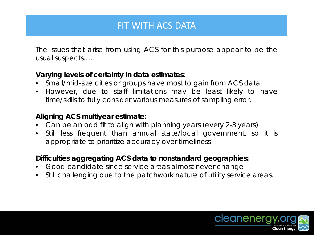## FIT WITH ACS DATA

The issues that arise from using ACS for this purpose appear to be the usual suspects….

#### *Varying levels of certainty in data estimates*:

- Small/mid-size cities or groups have most to gain from ACS data
- However, due to staff limitations may be least likely to have time/skills to fully consider various measures of sampling error.

#### *Aligning ACS multiyear estimate:*

- Can be an odd fit to align with planning years (every 2-3 years)
- Still less frequent than annual state/local government, so it is appropriate to prioritize accuracy over timeliness

#### *Difficulties aggregating ACS data to nonstandard geographies:*

- Good candidate since service areas almost never change
- Still challenging due to the patchwork nature of utility service areas.

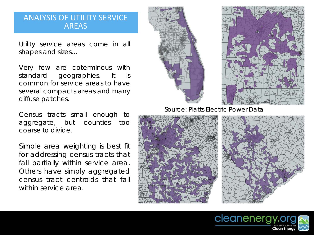#### ANALYSIS OF UTILITY SERVICE AREAS

Utility service areas come in all shapes and sizes…

Very few are coterminous with standard geographies. It is common for service areas to have several compacts areas and many diffuse patches.

Census tracts small enough to aggregate, but counties too coarse to divide.

Simple area weighting is best fit for addressing census tracts that fall partially within service area. Others have simply aggregated census tract centroids that fall within service area.



Source: Platts Electric Power Data



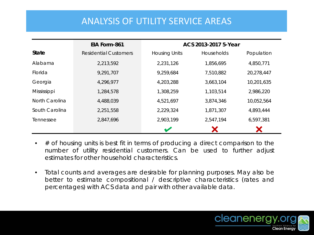### ANALYSIS OF UTILITY SERVICE AREAS

|                | EIA Form-861                 | ACS 2013-2017 5-Year |            |            |
|----------------|------------------------------|----------------------|------------|------------|
| <b>State</b>   | <b>Residential Customers</b> | <b>Housing Units</b> | Households | Population |
| Alabama        | 2,213,592                    | 2,231,126            | 1,856,695  | 4,850,771  |
| Florida        | 9,291,707                    | 9,259,684            | 7,510,882  | 20,278,447 |
| Georgia        | 4,296,977                    | 4,203,288            | 3,663,104  | 10,201,635 |
| Mississippi    | 1,284,578                    | 1,308,259            | 1,103,514  | 2,986,220  |
| North Carolina | 4,488,039                    | 4,521,697            | 3,874,346  | 10,052,564 |
| South Carolina | 2,251,558                    | 2,229,324            | 1,871,307  | 4,893,444  |
| Tennessee      | 2,847,696                    | 2,903,199            | 2,547,194  | 6,597,381  |
|                |                              |                      |            |            |

- # of housing units is best fit in terms of producing a direct comparison to the number of utility residential customers. Can be used to further adjust estimates for other household characteristics.
- Total counts and averages are desirable for planning purposes. May also be better to estimate compositional / descriptive characteristics (rates and percentages) with ACS data and pair with other available data.

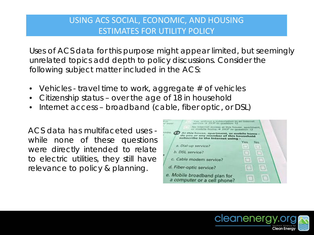### USING ACS SOCIAL, ECONOMIC, AND HOUSING ESTIMATES FOR UTILITY POLICY

Uses of ACS data for this purpose might appear limited, but seemingly unrelated topics add depth to policy discussions. Consider the following subject matter included in the ACS:

- Vehicles travel time to work, aggregate # of vehicles
- Citizenship status over the age of 18 in household
- Internet access broadband (cable, fiber optic, or DSL)

ACS data has multifaceted uses while none of these questions were directly intended to relate to electric utilities, they still have relevance to policy & planning.



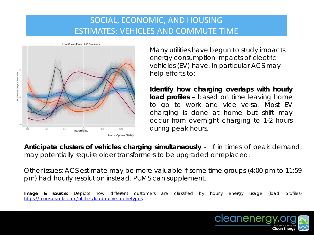### SOCIAL, ECONOMIC, AND HOUSING ESTIMATES: VEHICLES AND COMMUTE TIME



Many utilities have begun to study impacts energy consumption impacts of electric vehicles (EV) have. In particular ACS may help efforts to:

**Identify how charging overlaps with hourly load profiles –** based on time leaving home to go to work and vice versa. Most EV charging is done at home but shift may occur from overnight charging to 1-2 hours during peak hours.

**Anticipate clusters of vehicles charging simultaneously** - If in times of peak demand, may potentially require older transformers to be upgraded or replaced.

Other issues: ACS estimate may be more valuable if some time groups (4:00 pm to 11:59 pm) had hourly resolution instead. PUMS can supplement.

*Image & source:* Depicts how different customers are classified by hourly energy usage (load profiles) <https://blogs.oracle.com/utilities/load-curve-archetypes>

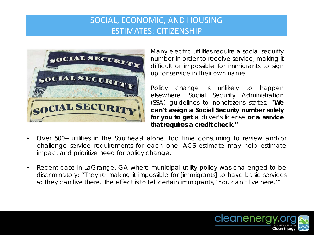### SOCIAL, ECONOMIC, AND HOUSING ESTIMATES: CITIZENSHIP



Many electric utilities require a social security number in order to receive service, making it difficult or impossible for immigrants to sign up for service in their own name.

Policy change is unlikely to happen elsewhere. Social Security Administration (SSA) guidelines to noncitizens states: "**We can't assign a Social Security number solely for you to get** a driver's license **or a service that requires a credit check."**

- Over 500+ utilities in the Southeast alone, too time consuming to review and/or challenge service requirements for each one. ACS estimate may help estimate impact and prioritize need for policy change.
- Recent case in LaGrange, GA where municipal utility policy was challenged to be discriminatory: "They're making it impossible for [immigrants] to have basic services so they can live there. The effect is to tell certain immigrants, 'You can't live here.'"

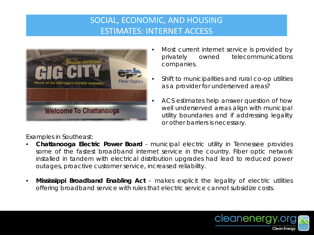## SOCIAL, ECONOMIC, AND HOUSING ESTIMATES: INTERNET ACCESS



- Most current internet service is provided by privately owned telecommunications companies.
- Shift to municipalities and rural co-op utilities as a provider for underserved areas?
- ACS estimates help answer question of how well underserved areas align with municipal utility boundaries and if addressing legality or other barriers is necessary.

Examples in Southeast:

- **Chattanooga Electric Power Board** municipal electric utility in Tennessee provides some of the fastest broadband internet service in the country. Fiber optic network installed in tandem with electrical distribution upgrades had lead to reduced power outages, proactive customer service, increased reliability.
- **Mississippi Broadband Enabling Act** makes explicit the legality of electric utilities offering broadband service with rules that electric service cannot subsidize costs.

![](_page_11_Picture_8.jpeg)